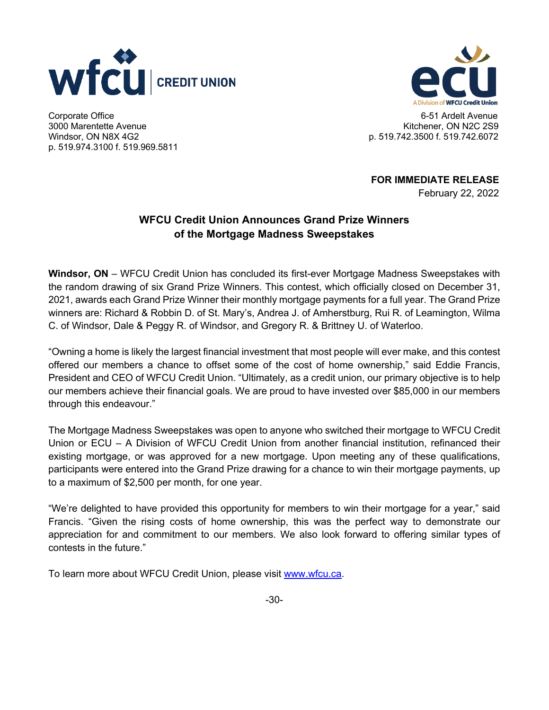



Windsor, ON N8X 4G2 3000 Marentette Avenue Kitchener, ON N2C 2S9 p. 519.974.3100 f. 519.969.5811

Corporate Office 6-51 Ardelt Avenue p. 519.742.3500 f. 519.742.6072

**FOR IMMEDIATE RELEASE** 

February 22, 2022

## **WFCU Credit Union Announces Grand Prize Winners of the Mortgage Madness Sweepstakes**

 **Windsor, ON** – WFCU Credit Union has concluded its first-ever Mortgage Madness Sweepstakes with the random drawing of six Grand Prize Winners. This contest, which officially closed on December 31, 2021, awards each Grand Prize Winner their monthly mortgage payments for a full year. The Grand Prize winners are: Richard & Robbin D. of St. Mary's, Andrea J. of Amherstburg, Rui R. of Leamington, Wilma C. of Windsor, Dale & Peggy R. of Windsor, and Gregory R. & Brittney U. of Waterloo.

 "Owning a home is likely the largest financial investment that most people will ever make, and this contest offered our members a chance to offset some of the cost of home ownership," said Eddie Francis, President and CEO of WFCU Credit Union. "Ultimately, as a credit union, our primary objective is to help our members achieve their financial goals. We are proud to have invested over \$85,000 in our members through this endeavour."

through this endeavour."<br>The Mortgage Madness Sweepstakes was open to anyone who switched their mortgage to WFCU Credit Union or ECU – A Division of WFCU Credit Union from another financial institution, refinanced their existing mortgage, or was approved for a new mortgage. Upon meeting any of these qualifications, participants were entered into the Grand Prize drawing for a chance to win their mortgage payments, up to a maximum of \$2,500 per month, for one year.

 "We're delighted to have provided this opportunity for members to win their mortgage for a year," said Francis. "Given the rising costs of home ownership, this was the perfect way to demonstrate our appreciation for and commitment to our members. We also look forward to offering similar types of contests in the future."

To learn more about WFCU Credit Union, please visit <www.wfcu.ca>.